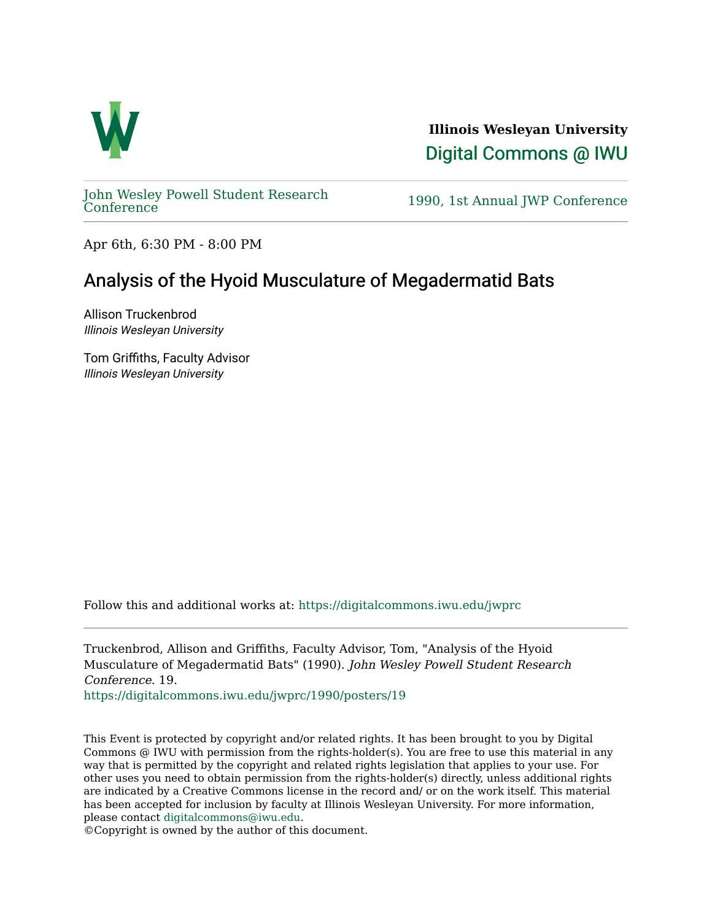

**Illinois Wesleyan University**  [Digital Commons @ IWU](https://digitalcommons.iwu.edu/) 

[John Wesley Powell Student Research](https://digitalcommons.iwu.edu/jwprc) 

1990, 1st Annual JWP [Conference](https://digitalcommons.iwu.edu/jwprc)

Apr 6th, 6:30 PM - 8:00 PM

## Analysis of the Hyoid Musculature of Megadermatid Bats

Allison Truckenbrod Illinois Wesleyan University

Tom Griffiths, Faculty Advisor Illinois Wesleyan University

Follow this and additional works at: [https://digitalcommons.iwu.edu/jwprc](https://digitalcommons.iwu.edu/jwprc?utm_source=digitalcommons.iwu.edu%2Fjwprc%2F1990%2Fposters%2F19&utm_medium=PDF&utm_campaign=PDFCoverPages) 

Truckenbrod, Allison and Griffiths, Faculty Advisor, Tom, "Analysis of the Hyoid Musculature of Megadermatid Bats" (1990). John Wesley Powell Student Research Conference. 19.

[https://digitalcommons.iwu.edu/jwprc/1990/posters/19](https://digitalcommons.iwu.edu/jwprc/1990/posters/19?utm_source=digitalcommons.iwu.edu%2Fjwprc%2F1990%2Fposters%2F19&utm_medium=PDF&utm_campaign=PDFCoverPages)

This Event is protected by copyright and/or related rights. It has been brought to you by Digital Commons @ IWU with permission from the rights-holder(s). You are free to use this material in any way that is permitted by the copyright and related rights legislation that applies to your use. For other uses you need to obtain permission from the rights-holder(s) directly, unless additional rights are indicated by a Creative Commons license in the record and/ or on the work itself. This material has been accepted for inclusion by faculty at Illinois Wesleyan University. For more information, please contact [digitalcommons@iwu.edu.](mailto:digitalcommons@iwu.edu)

©Copyright is owned by the author of this document.